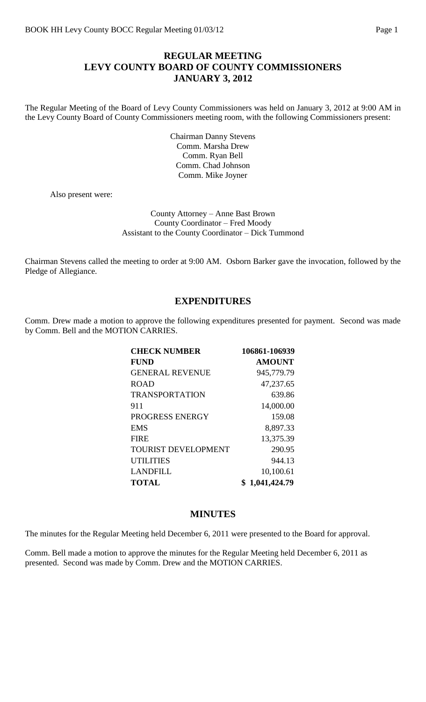## **REGULAR MEETING LEVY COUNTY BOARD OF COUNTY COMMISSIONERS JANUARY 3, 2012**

The Regular Meeting of the Board of Levy County Commissioners was held on January 3, 2012 at 9:00 AM in the Levy County Board of County Commissioners meeting room, with the following Commissioners present:

> Chairman Danny Stevens Comm. Marsha Drew Comm. Ryan Bell Comm. Chad Johnson Comm. Mike Joyner

Also present were:

#### County Attorney – Anne Bast Brown County Coordinator – Fred Moody Assistant to the County Coordinator – Dick Tummond

Chairman Stevens called the meeting to order at 9:00 AM. Osborn Barker gave the invocation, followed by the Pledge of Allegiance.

#### **EXPENDITURES**

Comm. Drew made a motion to approve the following expenditures presented for payment. Second was made by Comm. Bell and the MOTION CARRIES.

| <b>CHECK NUMBER</b>        | 106861-106939 |
|----------------------------|---------------|
| <b>FUND</b>                | <b>AMOUNT</b> |
| <b>GENERAL REVENUE</b>     | 945,779.79    |
| <b>ROAD</b>                | 47,237.65     |
| <b>TRANSPORTATION</b>      | 639.86        |
| 911                        | 14,000.00     |
| PROGRESS ENERGY            | 159.08        |
| <b>EMS</b>                 | 8,897.33      |
| <b>FIRE</b>                | 13,375.39     |
| <b>TOURIST DEVELOPMENT</b> | 290.95        |
| <b>UTILITIES</b>           | 944.13        |
| <b>LANDFILL</b>            | 10,100.61     |
| <b>TOTAL</b>               | 1,041,424.79  |

#### **MINUTES**

The minutes for the Regular Meeting held December 6, 2011 were presented to the Board for approval.

Comm. Bell made a motion to approve the minutes for the Regular Meeting held December 6, 2011 as presented. Second was made by Comm. Drew and the MOTION CARRIES.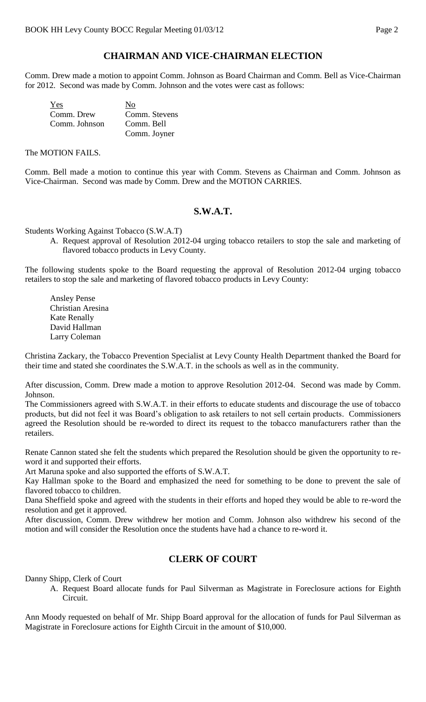# **CHAIRMAN AND VICE-CHAIRMAN ELECTION**

Comm. Drew made a motion to appoint Comm. Johnson as Board Chairman and Comm. Bell as Vice-Chairman for 2012. Second was made by Comm. Johnson and the votes were cast as follows:

| Yes           | No            |
|---------------|---------------|
| Comm. Drew    | Comm. Stevens |
| Comm. Johnson | Comm. Bell    |
|               | Comm. Joyner  |

The MOTION FAILS.

Comm. Bell made a motion to continue this year with Comm. Stevens as Chairman and Comm. Johnson as Vice-Chairman. Second was made by Comm. Drew and the MOTION CARRIES.

#### **S.W.A.T.**

Students Working Against Tobacco (S.W.A.T)

A. Request approval of Resolution 2012-04 urging tobacco retailers to stop the sale and marketing of flavored tobacco products in Levy County.

The following students spoke to the Board requesting the approval of Resolution 2012-04 urging tobacco retailers to stop the sale and marketing of flavored tobacco products in Levy County:

Ansley Pense Christian Aresina Kate Renally David Hallman Larry Coleman

Christina Zackary, the Tobacco Prevention Specialist at Levy County Health Department thanked the Board for their time and stated she coordinates the S.W.A.T. in the schools as well as in the community.

After discussion, Comm. Drew made a motion to approve Resolution 2012-04. Second was made by Comm. Johnson.

The Commissioners agreed with S.W.A.T. in their efforts to educate students and discourage the use of tobacco products, but did not feel it was Board's obligation to ask retailers to not sell certain products. Commissioners agreed the Resolution should be re-worded to direct its request to the tobacco manufacturers rather than the retailers.

Renate Cannon stated she felt the students which prepared the Resolution should be given the opportunity to reword it and supported their efforts.

Art Maruna spoke and also supported the efforts of S.W.A.T.

Kay Hallman spoke to the Board and emphasized the need for something to be done to prevent the sale of flavored tobacco to children.

Dana Sheffield spoke and agreed with the students in their efforts and hoped they would be able to re-word the resolution and get it approved.

After discussion, Comm. Drew withdrew her motion and Comm. Johnson also withdrew his second of the motion and will consider the Resolution once the students have had a chance to re-word it.

## **CLERK OF COURT**

Danny Shipp, Clerk of Court

A. Request Board allocate funds for Paul Silverman as Magistrate in Foreclosure actions for Eighth Circuit.

Ann Moody requested on behalf of Mr. Shipp Board approval for the allocation of funds for Paul Silverman as Magistrate in Foreclosure actions for Eighth Circuit in the amount of \$10,000.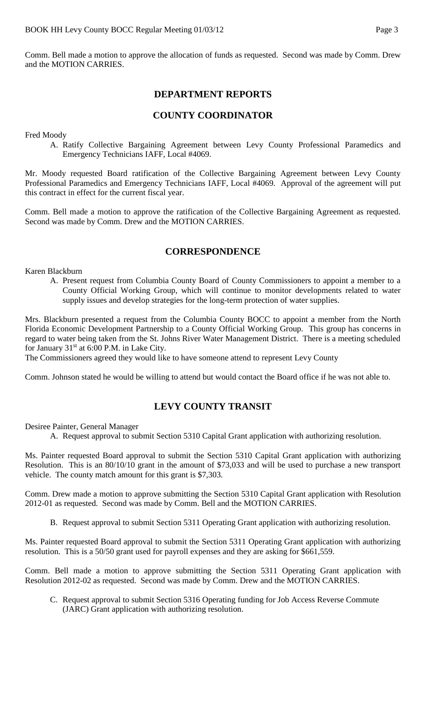Comm. Bell made a motion to approve the allocation of funds as requested. Second was made by Comm. Drew and the MOTION CARRIES.

## **DEPARTMENT REPORTS**

## **COUNTY COORDINATOR**

Fred Moody

A. Ratify Collective Bargaining Agreement between Levy County Professional Paramedics and Emergency Technicians IAFF, Local #4069.

Mr. Moody requested Board ratification of the Collective Bargaining Agreement between Levy County Professional Paramedics and Emergency Technicians IAFF, Local #4069. Approval of the agreement will put this contract in effect for the current fiscal year.

Comm. Bell made a motion to approve the ratification of the Collective Bargaining Agreement as requested. Second was made by Comm. Drew and the MOTION CARRIES.

#### **CORRESPONDENCE**

Karen Blackburn

A. Present request from Columbia County Board of County Commissioners to appoint a member to a County Official Working Group, which will continue to monitor developments related to water supply issues and develop strategies for the long-term protection of water supplies.

Mrs. Blackburn presented a request from the Columbia County BOCC to appoint a member from the North Florida Economic Development Partnership to a County Official Working Group. This group has concerns in regard to water being taken from the St. Johns River Water Management District. There is a meeting scheduled for January  $31<sup>st</sup>$  at 6:00 P.M. in Lake City.

The Commissioners agreed they would like to have someone attend to represent Levy County

Comm. Johnson stated he would be willing to attend but would contact the Board office if he was not able to.

# **LEVY COUNTY TRANSIT**

Desiree Painter, General Manager

A. Request approval to submit Section 5310 Capital Grant application with authorizing resolution.

Ms. Painter requested Board approval to submit the Section 5310 Capital Grant application with authorizing Resolution. This is an 80/10/10 grant in the amount of \$73,033 and will be used to purchase a new transport vehicle. The county match amount for this grant is \$7,303.

Comm. Drew made a motion to approve submitting the Section 5310 Capital Grant application with Resolution 2012-01 as requested. Second was made by Comm. Bell and the MOTION CARRIES.

B. Request approval to submit Section 5311 Operating Grant application with authorizing resolution.

Ms. Painter requested Board approval to submit the Section 5311 Operating Grant application with authorizing resolution. This is a 50/50 grant used for payroll expenses and they are asking for \$661,559.

Comm. Bell made a motion to approve submitting the Section 5311 Operating Grant application with Resolution 2012-02 as requested. Second was made by Comm. Drew and the MOTION CARRIES.

C. Request approval to submit Section 5316 Operating funding for Job Access Reverse Commute (JARC) Grant application with authorizing resolution.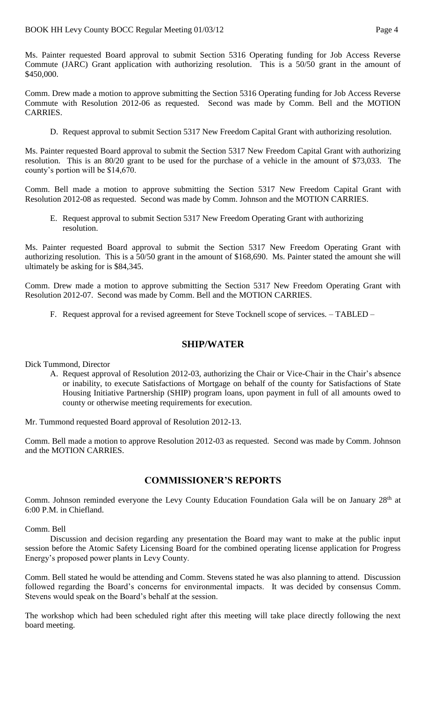Ms. Painter requested Board approval to submit Section 5316 Operating funding for Job Access Reverse Commute (JARC) Grant application with authorizing resolution. This is a 50/50 grant in the amount of \$450,000.

Comm. Drew made a motion to approve submitting the Section 5316 Operating funding for Job Access Reverse Commute with Resolution 2012-06 as requested. Second was made by Comm. Bell and the MOTION CARRIES.

D. Request approval to submit Section 5317 New Freedom Capital Grant with authorizing resolution.

Ms. Painter requested Board approval to submit the Section 5317 New Freedom Capital Grant with authorizing resolution. This is an 80/20 grant to be used for the purchase of a vehicle in the amount of \$73,033. The county's portion will be \$14,670.

Comm. Bell made a motion to approve submitting the Section 5317 New Freedom Capital Grant with Resolution 2012-08 as requested. Second was made by Comm. Johnson and the MOTION CARRIES.

E. Request approval to submit Section 5317 New Freedom Operating Grant with authorizing resolution.

Ms. Painter requested Board approval to submit the Section 5317 New Freedom Operating Grant with authorizing resolution. This is a 50/50 grant in the amount of \$168,690. Ms. Painter stated the amount she will ultimately be asking for is \$84,345.

Comm. Drew made a motion to approve submitting the Section 5317 New Freedom Operating Grant with Resolution 2012-07. Second was made by Comm. Bell and the MOTION CARRIES.

F. Request approval for a revised agreement for Steve Tocknell scope of services. – TABLED –

#### **SHIP/WATER**

Dick Tummond, Director

A. Request approval of Resolution 2012-03, authorizing the Chair or Vice-Chair in the Chair's absence or inability, to execute Satisfactions of Mortgage on behalf of the county for Satisfactions of State Housing Initiative Partnership (SHIP) program loans, upon payment in full of all amounts owed to county or otherwise meeting requirements for execution.

Mr. Tummond requested Board approval of Resolution 2012-13.

Comm. Bell made a motion to approve Resolution 2012-03 as requested. Second was made by Comm. Johnson and the MOTION CARRIES.

## **COMMISSIONER'S REPORTS**

Comm. Johnson reminded everyone the Levy County Education Foundation Gala will be on January 28<sup>th</sup> at 6:00 P.M. in Chiefland.

Comm. Bell

Discussion and decision regarding any presentation the Board may want to make at the public input session before the Atomic Safety Licensing Board for the combined operating license application for Progress Energy's proposed power plants in Levy County.

Comm. Bell stated he would be attending and Comm. Stevens stated he was also planning to attend. Discussion followed regarding the Board's concerns for environmental impacts. It was decided by consensus Comm. Stevens would speak on the Board's behalf at the session.

The workshop which had been scheduled right after this meeting will take place directly following the next board meeting.